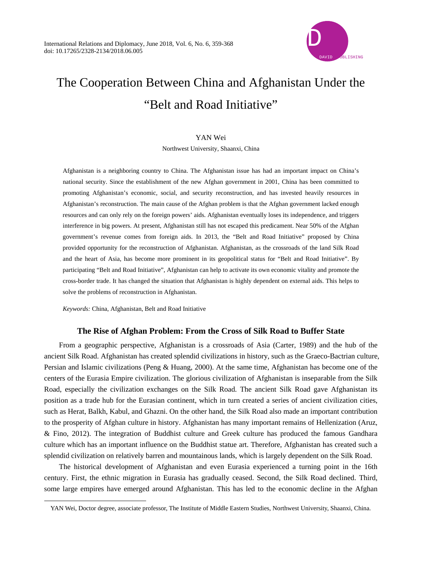

# The Cooperation Between China and Afghanistan Under the "Belt and Road Initiative"

## YAN Wei

Northwest University, Shaanxi, China

Afghanistan is a neighboring country to China. The Afghanistan issue has had an important impact on China's national security. Since the establishment of the new Afghan government in 2001, China has been committed to promoting Afghanistan's economic, social, and security reconstruction, and has invested heavily resources in Afghanistan's reconstruction. The main cause of the Afghan problem is that the Afghan government lacked enough resources and can only rely on the foreign powers' aids. Afghanistan eventually loses its independence, and triggers interference in big powers. At present, Afghanistan still has not escaped this predicament. Near 50% of the Afghan government's revenue comes from foreign aids. In 2013, the "Belt and Road Initiative" proposed by China provided opportunity for the reconstruction of Afghanistan. Afghanistan, as the crossroads of the land Silk Road and the heart of Asia, has become more prominent in its geopolitical status for "Belt and Road Initiative". By participating "Belt and Road Initiative", Afghanistan can help to activate its own economic vitality and promote the cross-border trade. It has changed the situation that Afghanistan is highly dependent on external aids. This helps to solve the problems of reconstruction in Afghanistan.

*Keywords:* China, Afghanistan, Belt and Road Initiative

 $\overline{a}$ 

# **The Rise of Afghan Problem: From the Cross of Silk Road to Buffer State**

From a geographic perspective, Afghanistan is a crossroads of Asia (Carter, 1989) and the hub of the ancient Silk Road. Afghanistan has created splendid civilizations in history, such as the Graeco-Bactrian culture, Persian and Islamic civilizations (Peng & Huang, 2000). At the same time, Afghanistan has become one of the centers of the Eurasia Empire civilization. The glorious civilization of Afghanistan is inseparable from the Silk Road, especially the civilization exchanges on the Silk Road. The ancient Silk Road gave Afghanistan its position as a trade hub for the Eurasian continent, which in turn created a series of ancient civilization cities, such as Herat, Balkh, Kabul, and Ghazni. On the other hand, the Silk Road also made an important contribution to the prosperity of Afghan culture in history. Afghanistan has many important remains of Hellenization (Aruz, & Fino, 2012). The integration of Buddhist culture and Greek culture has produced the famous Gandhara culture which has an important influence on the Buddhist statue art. Therefore, Afghanistan has created such a splendid civilization on relatively barren and mountainous lands, which is largely dependent on the Silk Road.

The historical development of Afghanistan and even Eurasia experienced a turning point in the 16th century. First, the ethnic migration in Eurasia has gradually ceased. Second, the Silk Road declined. Third, some large empires have emerged around Afghanistan. This has led to the economic decline in the Afghan

YAN Wei, Doctor degree, associate professor, The Institute of Middle Eastern Studies, Northwest University, Shaanxi, China.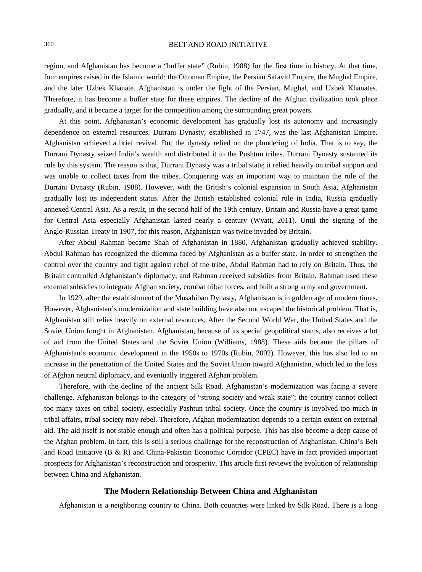region, and Afghanistan has become a "buffer state" (Rubin, 1988) for the first time in history. At that time, four empires raised in the Islamic world: the Ottoman Empire, the Persian Safavid Empire, the Mughal Empire, and the later Uzbek Khanate. Afghanistan is under the fight of the Persian, Mughal, and Uzbek Khanates. Therefore, it has become a buffer state for these empires. The decline of the Afghan civilization took place gradually, and it became a target for the competition among the surrounding great powers.

At this point, Afghanistan's economic development has gradually lost its autonomy and increasingly dependence on external resources. Durrani Dynasty, established in 1747, was the last Afghanistan Empire. Afghanistan achieved a brief revival. But the dynasty relied on the plundering of India. That is to say, the Durrani Dynasty seized India's wealth and distributed it to the Pushtun tribes. Durrani Dynasty sustained its rule by this system. The reason is that, Durrani Dynasty was a tribal state; it relied heavily on tribal support and was unable to collect taxes from the tribes. Conquering was an important way to maintain the rule of the Durrani Dynasty (Rubin, 1988). However, with the British's colonial expansion in South Asia, Afghanistan gradually lost its independent status. After the British established colonial rule in India, Russia gradually annexed Central Asia. As a result, in the second half of the 19th century, Britain and Russia have a great game for Central Asia especially Afghanistan lasted nearly a century (Wyatt, 2011). Until the signing of the Anglo-Russian Treaty in 1907, for this reason, Afghanistan was twice invaded by Britain.

After Abdul Rahman became Shah of Afghanistan in 1880, Afghanistan gradually achieved stability. Abdul Rahman has recognized the dilemma faced by Afghanistan as a buffer state. In order to strengthen the control over the country and fight against rebel of the tribe, Abdul Rahman had to rely on Britain. Thus, the Britain controlled Afghanistan's diplomacy, and Rahman received subsidies from Britain. Rahman used these external subsidies to integrate Afghan society, combat tribal forces, and built a strong army and government.

In 1929, after the establishment of the Musahiban Dynasty, Afghanistan is in golden age of modern times. However, Afghanistan's modernization and state building have also not escaped the historical problem. That is, Afghanistan still relies heavily on external resources. After the Second World War, the United States and the Soviet Union fought in Afghanistan. Afghanistan, because of its special geopolitical status, also receives a lot of aid from the United States and the Soviet Union (Williams, 1988). These aids became the pillars of Afghanistan's economic development in the 1950s to 1970s (Rubin, 2002). However, this has also led to an increase in the penetration of the United States and the Soviet Union toward Afghanistan, which led to the loss of Afghan neutral diplomacy, and eventually triggered Afghan problem.

Therefore, with the decline of the ancient Silk Road, Afghanistan's modernization was facing a severe challenge. Afghanistan belongs to the category of "strong society and weak state"; the country cannot collect too many taxes on tribal society, especially Pashtun tribal society. Once the country is involved too much in tribal affairs, tribal society may rebel. Therefore, Afghan modernization depends to a certain extent on external aid. The aid itself is not stable enough and often has a political purpose. This has also become a deep cause of the Afghan problem. In fact, this is still a serious challenge for the reconstruction of Afghanistan. China's Belt and Road Initiative (B & R) and China-Pakistan Economic Corridor (CPEC) have in fact provided important prospects for Afghanistan's reconstruction and prosperity. This article first reviews the evolution of relationship between China and Afghanistan.

## **The Modern Relationship Between China and Afghanistan**

Afghanistan is a neighboring country to China. Both countries were linked by Silk Road. There is a long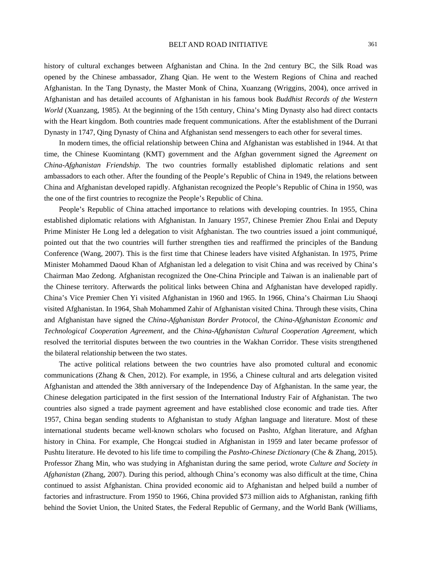history of cultural exchanges between Afghanistan and China. In the 2nd century BC, the Silk Road was opened by the Chinese ambassador, Zhang Qian. He went to the Western Regions of China and reached Afghanistan. In the Tang Dynasty, the Master Monk of China, Xuanzang (Wriggins, 2004), once arrived in Afghanistan and has detailed accounts of Afghanistan in his famous book *Buddhist Records of the Western World* (Xuanzang, 1985). At the beginning of the 15th century, China's Ming Dynasty also had direct contacts with the Heart kingdom. Both countries made frequent communications. After the establishment of the Durrani Dynasty in 1747, Qing Dynasty of China and Afghanistan send messengers to each other for several times.

In modern times, the official relationship between China and Afghanistan was established in 1944. At that time, the Chinese Kuomintang (KMT) government and the Afghan government signed the *Agreement on China-Afghanistan Friendship*. The two countries formally established diplomatic relations and sent ambassadors to each other. After the founding of the People's Republic of China in 1949, the relations between China and Afghanistan developed rapidly. Afghanistan recognized the People's Republic of China in 1950, was the one of the first countries to recognize the People's Republic of China.

People's Republic of China attached importance to relations with developing countries. In 1955, China established diplomatic relations with Afghanistan. In January 1957, Chinese Premier Zhou Enlai and Deputy Prime Minister He Long led a delegation to visit Afghanistan. The two countries issued a joint communiqué, pointed out that the two countries will further strengthen ties and reaffirmed the principles of the Bandung Conference (Wang, 2007). This is the first time that Chinese leaders have visited Afghanistan. In 1975, Prime Minister Mohammed Daoud Khan of Afghanistan led a delegation to visit China and was received by China's Chairman Mao Zedong. Afghanistan recognized the One-China Principle and Taiwan is an inalienable part of the Chinese territory. Afterwards the political links between China and Afghanistan have developed rapidly. China's Vice Premier Chen Yi visited Afghanistan in 1960 and 1965. In 1966, China's Chairman Liu Shaoqi visited Afghanistan. In 1964, Shah Mohammed Zahir of Afghanistan visited China. Through these visits, China and Afghanistan have signed the *China-Afghanistan Border Protocol*, the *China-Afghanistan Economic and Technological Cooperation Agreement*, and the *China-Afghanistan Cultural Cooperation Agreement*, which resolved the territorial disputes between the two countries in the Wakhan Corridor. These visits strengthened the bilateral relationship between the two states.

The active political relations between the two countries have also promoted cultural and economic communications (Zhang & Chen, 2012). For example, in 1956, a Chinese cultural and arts delegation visited Afghanistan and attended the 38th anniversary of the Independence Day of Afghanistan. In the same year, the Chinese delegation participated in the first session of the International Industry Fair of Afghanistan. The two countries also signed a trade payment agreement and have established close economic and trade ties. After 1957, China began sending students to Afghanistan to study Afghan language and literature. Most of these international students became well-known scholars who focused on Pashto, Afghan literature, and Afghan history in China. For example, Che Hongcai studied in Afghanistan in 1959 and later became professor of Pushtu literature. He devoted to his life time to compiling the *Pashto-Chinese Dictionary* (Che & Zhang, 2015). Professor Zhang Min, who was studying in Afghanistan during the same period, wrote *Culture and Society in Afghanistan* (Zhang, 2007). During this period, although China's economy was also difficult at the time, China continued to assist Afghanistan. China provided economic aid to Afghanistan and helped build a number of factories and infrastructure. From 1950 to 1966, China provided \$73 million aids to Afghanistan, ranking fifth behind the Soviet Union, the United States, the Federal Republic of Germany, and the World Bank (Williams,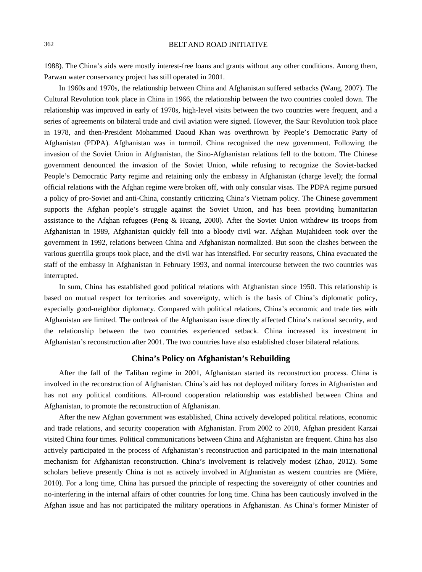1988). The China's aids were mostly interest-free loans and grants without any other conditions. Among them, Parwan water conservancy project has still operated in 2001.

In 1960s and 1970s, the relationship between China and Afghanistan suffered setbacks (Wang, 2007). The Cultural Revolution took place in China in 1966, the relationship between the two countries cooled down. The relationship was improved in early of 1970s, high-level visits between the two countries were frequent, and a series of agreements on bilateral trade and civil aviation were signed. However, the Saur Revolution took place in 1978, and then-President Mohammed Daoud Khan was overthrown by People's Democratic Party of Afghanistan (PDPA). Afghanistan was in turmoil. China recognized the new government. Following the invasion of the Soviet Union in Afghanistan, the Sino-Afghanistan relations fell to the bottom. The Chinese government denounced the invasion of the Soviet Union, while refusing to recognize the Soviet-backed People's Democratic Party regime and retaining only the embassy in Afghanistan (charge level); the formal official relations with the Afghan regime were broken off, with only consular visas. The PDPA regime pursued a policy of pro-Soviet and anti-China, constantly criticizing China's Vietnam policy. The Chinese government supports the Afghan people's struggle against the Soviet Union, and has been providing humanitarian assistance to the Afghan refugees (Peng & Huang, 2000). After the Soviet Union withdrew its troops from Afghanistan in 1989, Afghanistan quickly fell into a bloody civil war. Afghan Mujahideen took over the government in 1992, relations between China and Afghanistan normalized. But soon the clashes between the various guerrilla groups took place, and the civil war has intensified. For security reasons, China evacuated the staff of the embassy in Afghanistan in February 1993, and normal intercourse between the two countries was interrupted.

In sum, China has established good political relations with Afghanistan since 1950. This relationship is based on mutual respect for territories and sovereignty, which is the basis of China's diplomatic policy, especially good-neighbor diplomacy. Compared with political relations, China's economic and trade ties with Afghanistan are limited. The outbreak of the Afghanistan issue directly affected China's national security, and the relationship between the two countries experienced setback. China increased its investment in Afghanistan's reconstruction after 2001. The two countries have also established closer bilateral relations.

# **China's Policy on Afghanistan's Rebuilding**

After the fall of the Taliban regime in 2001, Afghanistan started its reconstruction process. China is involved in the reconstruction of Afghanistan. China's aid has not deployed military forces in Afghanistan and has not any political conditions. All-round cooperation relationship was established between China and Afghanistan, to promote the reconstruction of Afghanistan.

After the new Afghan government was established, China actively developed political relations, economic and trade relations, and security cooperation with Afghanistan. From 2002 to 2010, Afghan president Karzai visited China four times. Political communications between China and Afghanistan are frequent. China has also actively participated in the process of Afghanistan's reconstruction and participated in the main international mechanism for Afghanistan reconstruction. China's involvement is relatively modest (Zhao, 2012). Some scholars believe presently China is not as actively involved in Afghanistan as western countries are (Mière, 2010). For a long time, China has pursued the principle of respecting the sovereignty of other countries and no-interfering in the internal affairs of other countries for long time. China has been cautiously involved in the Afghan issue and has not participated the military operations in Afghanistan. As China's former Minister of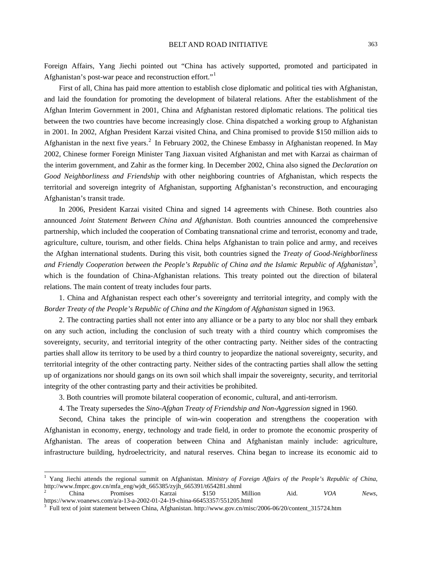Foreign Affairs, Yang Jiechi pointed out "China has actively supported, promoted and participated in Afghanistan's post-war peace and reconstruction effort."<sup>[1](#page-4-0)</sup>

First of all, China has paid more attention to establish close diplomatic and political ties with Afghanistan, and laid the foundation for promoting the development of bilateral relations. After the establishment of the Afghan Interim Government in 2001, China and Afghanistan restored diplomatic relations. The political ties between the two countries have become increasingly close. China dispatched a working group to Afghanistan in 2001. In 2002, Afghan President Karzai visited China, and China promised to provide \$150 million aids to Afghanistan in the next five years.<sup>[2](#page-4-1)</sup> In February 2002, the Chinese Embassy in Afghanistan reopened. In May 2002, Chinese former Foreign Minister Tang Jiaxuan visited Afghanistan and met with Karzai as chairman of the interim government, and Zahir as the former king. In December 2002, China also signed the *Declaration on Good Neighborliness and Friendship* with other neighboring countries of Afghanistan, which respects the territorial and sovereign integrity of Afghanistan, supporting Afghanistan's reconstruction, and encouraging Afghanistan's transit trade.

In 2006, President Karzai visited China and signed 14 agreements with Chinese. Both countries also announced *Joint Statement Between China and Afghanistan*. Both countries announced the comprehensive partnership, which included the cooperation of Combating transnational crime and terrorist, economy and trade, agriculture, culture, tourism, and other fields. China helps Afghanistan to train police and army, and receives the Afghan international students. During this visit, both countries signed the *Treaty of Good-Neighborliness and Friendly Cooperation between the People's Republic of China and the Islamic Republic of Afghanistan* [3](#page-4-2) , which is the foundation of China-Afghanistan relations. This treaty pointed out the direction of bilateral relations. The main content of treaty includes four parts.

1. China and Afghanistan respect each other's sovereignty and territorial integrity, and comply with the *Border Treaty of the People's Republic of China and the Kingdom of Afghanistan* signed in 1963.

2. The contracting parties shall not enter into any alliance or be a party to any bloc nor shall they embark on any such action, including the conclusion of such treaty with a third country which compromises the sovereignty, security, and territorial integrity of the other contracting party. Neither sides of the contracting parties shall allow its territory to be used by a third country to jeopardize the national sovereignty, security, and territorial integrity of the other contracting party. Neither sides of the contracting parties shall allow the setting up of organizations nor should gangs on its own soil which shall impair the sovereignty, security, and territorial integrity of the other contrasting party and their activities be prohibited.

3. Both countries will promote bilateral cooperation of economic, cultural, and anti-terrorism.

4. The Treaty supersedes the *Sino-Afghan Treaty of Friendship and Non-Aggression* signed in 1960.

Second, China takes the principle of win-win cooperation and strengthens the cooperation with Afghanistan in economy, energy, technology and trade field, in order to promote the economic prosperity of Afghanistan. The areas of cooperation between China and Afghanistan mainly include: agriculture, infrastructure building, hydroelectricity, and natural reserves. China began to increase its economic aid to

<span id="page-4-0"></span> <sup>1</sup> Yang Jiechi attends the regional summit on Afghanistan. *Ministry of Foreign Affairs of the People's Republic of China*, http://www.fmprc.gov.cn/mfa\_eng/wjdt\_665385/zyjh\_665391/t654281.shtml

<span id="page-4-1"></span><sup>2</sup> China Promises Karzai \$150 Million Aid. *VOA News*, https://www.voanews.com/a/a-13-a-2002-01-24-19-china-66453357/551205.html 3 Full text of joint statement between China, Afghanistan. http://www.gov.cn/misc/2006-06/20/content\_315724.htm

<span id="page-4-2"></span>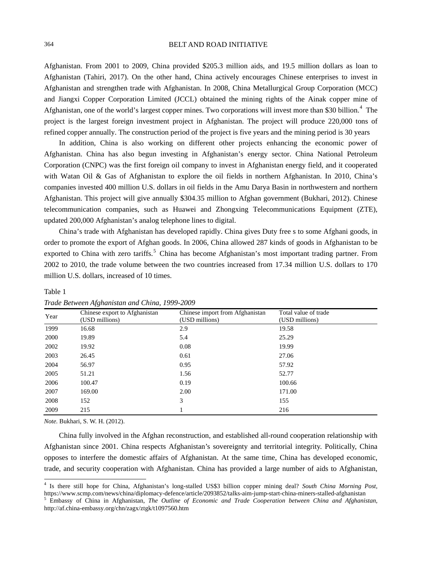Afghanistan. From 2001 to 2009, China provided \$205.3 million aids, and 19.5 million dollars as loan to Afghanistan (Tahiri, 2017). On the other hand, China actively encourages Chinese enterprises to invest in Afghanistan and strengthen trade with Afghanistan. In 2008, China Metallurgical Group Corporation (MCC) and Jiangxi Copper Corporation Limited (JCCL) obtained the mining rights of the Ainak copper mine of Afghanistan, one of the world's largest copper mines. Two corporations will invest more than \$30 billion.<sup>[4](#page-5-0)</sup> The project is the largest foreign investment project in Afghanistan. The project will produce 220,000 tons of refined copper annually. The construction period of the project is five years and the mining period is 30 years

In addition, China is also working on different other projects enhancing the economic power of Afghanistan. China has also begun investing in Afghanistan's energy sector. China National Petroleum Corporation (CNPC) was the first foreign oil company to invest in Afghanistan energy field, and it cooperated with Watan Oil & Gas of Afghanistan to explore the oil fields in northern Afghanistan. In 2010, China's companies invested 400 million U.S. dollars in oil fields in the Amu Darya Basin in northwestern and northern Afghanistan. This project will give annually \$304.35 million to Afghan government (Bukhari, 2012). Chinese telecommunication companies, such as Huawei and Zhongxing Telecommunications Equipment (ZTE), updated 200,000 Afghanistan's analog telephone lines to digital.

China's trade with Afghanistan has developed rapidly. China gives Duty free s to some Afghani goods, in order to promote the export of Afghan goods. In 2006, China allowed 287 kinds of goods in Afghanistan to be exported to China with zero tariffs.<sup>[5](#page-5-1)</sup> China has become Afghanistan's most important trading partner. From 2002 to 2010, the trade volume between the two countries increased from 17.34 million U.S. dollars to 170 million U.S. dollars, increased of 10 times.

| Year | Chinese export to Afghanistan<br>(USD millions) | Chinese import from Afghanistan<br>(USD millions) | Total value of trade<br>(USD millions) |
|------|-------------------------------------------------|---------------------------------------------------|----------------------------------------|
| 1999 | 16.68                                           | 2.9                                               | 19.58                                  |
| 2000 | 19.89                                           | 5.4                                               | 25.29                                  |
| 2002 | 19.92                                           | 0.08                                              | 19.99                                  |
| 2003 | 26.45                                           | 0.61                                              | 27.06                                  |
| 2004 | 56.97                                           | 0.95                                              | 57.92                                  |
| 2005 | 51.21                                           | 1.56                                              | 52.77                                  |
| 2006 | 100.47                                          | 0.19                                              | 100.66                                 |
| 2007 | 169.00                                          | 2.00                                              | 171.00                                 |
| 2008 | 152                                             | 3                                                 | 155                                    |
| 2009 | 215                                             |                                                   | 216                                    |

## *Trade Between Afghanistan and China, 1999-2009*

*Note.* Bukhari, S. W. H. (2012).

Table 1

China fully involved in the Afghan reconstruction, and established all-round cooperation relationship with Afghanistan since 2001. China respects Afghanistan's sovereignty and territorial integrity. Politically, China opposes to interfere the domestic affairs of Afghanistan. At the same time, China has developed economic, trade, and security cooperation with Afghanistan. China has provided a large number of aids to Afghanistan,

<span id="page-5-0"></span> <sup>4</sup> Is there still hope for China, Afghanistan's long-stalled US\$3 billion copper mining deal? *South China Morning Post*,

<span id="page-5-1"></span><sup>&</sup>lt;sup>5</sup> Embassy of China in Afghanistan, The Outline of Economic and Trade Cooperation between China and Afghanistan, http://af.china-embassy.org/chn/zagx/ztgk/t1097560.htm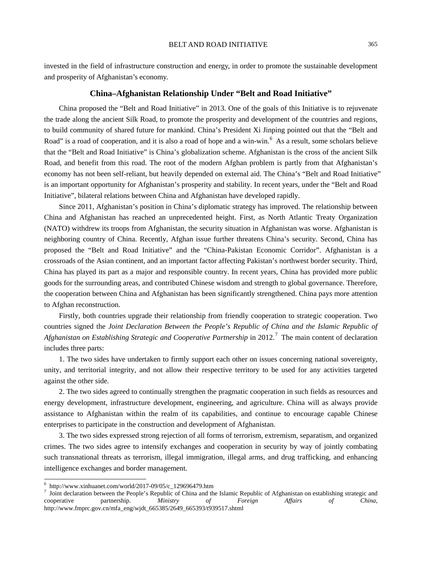invested in the field of infrastructure construction and energy, in order to promote the sustainable development and prosperity of Afghanistan's economy.

# **China–Afghanistan Relationship Under "Belt and Road Initiative"**

China proposed the "Belt and Road Initiative" in 2013. One of the goals of this Initiative is to rejuvenate the trade along the ancient Silk Road, to promote the prosperity and development of the countries and regions, to build community of shared future for mankind. China's President Xi Jinping pointed out that the "Belt and Road" is a road of cooperation, and it is also a road of hope and a win-win.<sup>[6](#page-6-0)</sup> As a result, some scholars believe that the "Belt and Road Initiative" is China's globalization scheme. Afghanistan is the cross of the ancient Silk Road, and benefit from this road. The root of the modern Afghan problem is partly from that Afghanistan's economy has not been self-reliant, but heavily depended on external aid. The China's "Belt and Road Initiative" is an important opportunity for Afghanistan's prosperity and stability. In recent years, under the "Belt and Road Initiative", bilateral relations between China and Afghanistan have developed rapidly.

Since 2011, Afghanistan's position in China's diplomatic strategy has improved. The relationship between China and Afghanistan has reached an unprecedented height. First, as North Atlantic Treaty Organization (NATO) withdrew its troops from Afghanistan, the security situation in Afghanistan was worse. Afghanistan is neighboring country of China. Recently, Afghan issue further threatens China's security. Second, China has proposed the "Belt and Road Initiative" and the "China-Pakistan Economic Corridor". Afghanistan is a crossroads of the Asian continent, and an important factor affecting Pakistan's northwest border security. Third, China has played its part as a major and responsible country. In recent years, China has provided more public goods for the surrounding areas, and contributed Chinese wisdom and strength to global governance. Therefore, the cooperation between China and Afghanistan has been significantly strengthened. China pays more attention to Afghan reconstruction.

Firstly, both countries upgrade their relationship from friendly cooperation to strategic cooperation. Two countries signed the *Joint Declaration Between the People's Republic of China and the Islamic Republic of*  Afghanistan on Establishing Strategic and Cooperative Partnership in 2012.<sup>[7](#page-6-1)</sup> The main content of declaration includes three parts:

1. The two sides have undertaken to firmly support each other on issues concerning national sovereignty, unity, and territorial integrity, and not allow their respective territory to be used for any activities targeted against the other side.

2. The two sides agreed to continually strengthen the pragmatic cooperation in such fields as resources and energy development, infrastructure development, engineering, and agriculture. China will as always provide assistance to Afghanistan within the realm of its capabilities, and continue to encourage capable Chinese enterprises to participate in the construction and development of Afghanistan.

3. The two sides expressed strong rejection of all forms of terrorism, extremism, separatism, and organized crimes. The two sides agree to intensify exchanges and cooperation in security by way of jointly combating such transnational threats as terrorism, illegal immigration, illegal arms, and drug trafficking, and enhancing intelligence exchanges and border management.

<span id="page-6-1"></span><span id="page-6-0"></span><sup>&</sup>lt;sup>6</sup> http://www.xinhuanet.com/world/2017-09/05/c\_129696479.htm<br><sup>7</sup> Joint declaration between the People's Republic of China and the Islamic Republic of Afghanistan on establishing strategic and cooperative partnership. *Ministry of Foreign Affairs of China*, http://www.fmprc.gov.cn/mfa\_eng/wjdt\_665385/2649\_665393/t939517.shtml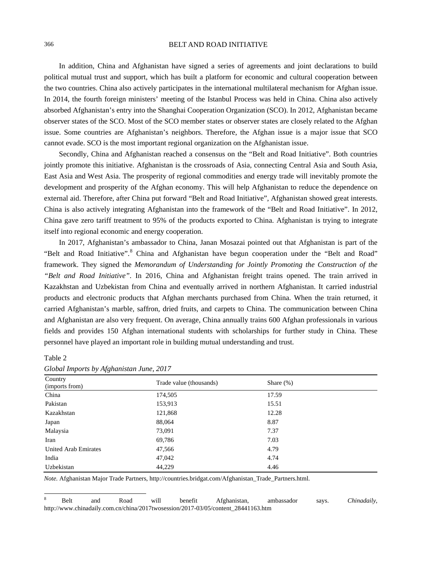In addition, China and Afghanistan have signed a series of agreements and joint declarations to build political mutual trust and support, which has built a platform for economic and cultural cooperation between the two countries. China also actively participates in the international multilateral mechanism for Afghan issue. In 2014, the fourth foreign ministers' meeting of the Istanbul Process was held in China. China also actively absorbed Afghanistan's entry into the Shanghai Cooperation Organization (SCO). In 2012, Afghanistan became observer states of the SCO. Most of the SCO member states or observer states are closely related to the Afghan issue. Some countries are Afghanistan's neighbors. Therefore, the Afghan issue is a major issue that SCO cannot evade. SCO is the most important regional organization on the Afghanistan issue.

Secondly, China and Afghanistan reached a consensus on the "Belt and Road Initiative". Both countries jointly promote this initiative. Afghanistan is the crossroads of Asia, connecting Central Asia and South Asia, East Asia and West Asia. The prosperity of regional commodities and energy trade will inevitably promote the development and prosperity of the Afghan economy. This will help Afghanistan to reduce the dependence on external aid. Therefore, after China put forward "Belt and Road Initiative", Afghanistan showed great interests. China is also actively integrating Afghanistan into the framework of the "Belt and Road Initiative". In 2012, China gave zero tariff treatment to 95% of the products exported to China. Afghanistan is trying to integrate itself into regional economic and energy cooperation.

In 2017, Afghanistan's ambassador to China, Janan Mosazai pointed out that Afghanistan is part of the "Belt and Road Initiative".<sup>[8](#page-7-0)</sup> China and Afghanistan have begun cooperation under the "Belt and Road" framework. They signed the *Memorandum of Understanding for Jointly Promoting the Construction of the "Belt and Road Initiative"*. In 2016, China and Afghanistan freight trains opened. The train arrived in Kazakhstan and Uzbekistan from China and eventually arrived in northern Afghanistan. It carried industrial products and electronic products that Afghan merchants purchased from China. When the train returned, it carried Afghanistan's marble, saffron, dried fruits, and carpets to China. The communication between China and Afghanistan are also very frequent. On average, China annually trains 600 Afghan professionals in various fields and provides 150 Afghan international students with scholarships for further study in China. These personnel have played an important role in building mutual understanding and trust.

#### Table 2

| vv                          |                         |              |  |  |  |  |  |
|-----------------------------|-------------------------|--------------|--|--|--|--|--|
| Country<br>(imports from)   | Trade value (thousands) | Share $(\%)$ |  |  |  |  |  |
| China                       | 174,505                 | 17.59        |  |  |  |  |  |
| Pakistan                    | 153,913                 | 15.51        |  |  |  |  |  |
| Kazakhstan                  | 121,868                 | 12.28        |  |  |  |  |  |
| Japan                       | 88,064                  | 8.87         |  |  |  |  |  |
| Malaysia                    | 73,091                  | 7.37         |  |  |  |  |  |
| Iran                        | 69,786                  | 7.03         |  |  |  |  |  |
| <b>United Arab Emirates</b> | 47,566                  | 4.79         |  |  |  |  |  |
| India                       | 47,042                  | 4.74         |  |  |  |  |  |
| Uzbekistan                  | 44,229                  | 4.46         |  |  |  |  |  |

| Global Imports by Afghanistan June, 2017 |  |  |  |  |  |
|------------------------------------------|--|--|--|--|--|
|------------------------------------------|--|--|--|--|--|

*Note.* Afghanistan Major Trade Partners, http://countries.bridgat.com/Afghanistan\_Trade\_Partners.html.

<span id="page-7-0"></span> <sup>8</sup> Belt and Road will benefit Afghanistan, ambassador says. *Chinadaily*, http://www.chinadaily.com.cn/china/2017twosession/2017-03/05/content\_28441163.htm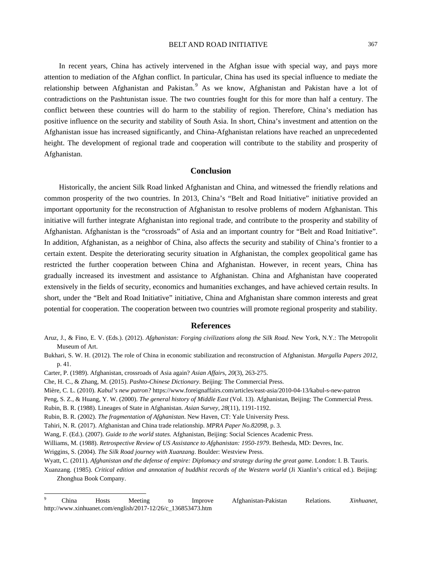In recent years, China has actively intervened in the Afghan issue with special way, and pays more attention to mediation of the Afghan conflict. In particular, China has used its special influence to mediate the relationship between Afghanistan and Pakistan. As we know, Afghanistan and Pakistan have a lot of contradictions on the Pashtunistan issue. The two countries fought for this for more than half a century. The conflict between these countries will do harm to the stability of region. Therefore, China's mediation has positive influence on the security and stability of South Asia. In short, China's investment and attention on the Afghanistan issue has increased significantly, and China-Afghanistan relations have reached an unprecedented height. The development of regional trade and cooperation will contribute to the stability and prosperity of Afghanistan.

# **Conclusion**

Historically, the ancient Silk Road linked Afghanistan and China, and witnessed the friendly relations and common prosperity of the two countries. In 2013, China's "Belt and Road Initiative" initiative provided an important opportunity for the reconstruction of Afghanistan to resolve problems of modern Afghanistan. This initiative will further integrate Afghanistan into regional trade, and contribute to the prosperity and stability of Afghanistan. Afghanistan is the "crossroads" of Asia and an important country for "Belt and Road Initiative". In addition, Afghanistan, as a neighbor of China, also affects the security and stability of China's frontier to a certain extent. Despite the deteriorating security situation in Afghanistan, the complex geopolitical game has restricted the further cooperation between China and Afghanistan. However, in recent years, China has gradually increased its investment and assistance to Afghanistan. China and Afghanistan have cooperated extensively in the fields of security, economics and humanities exchanges, and have achieved certain results. In short, under the "Belt and Road Initiative" initiative, China and Afghanistan share common interests and great potential for cooperation. The cooperation between two countries will promote regional prosperity and stability.

### **References**

- Aruz, J., & Fino, E. V. (Eds.). (2012). *Afghanistan: Forging civilizations along the Silk Road*. New York, N.Y.: The Metropolit Museum of Art.
- Bukhari, S. W. H. (2012). The role of China in economic stabilization and reconstruction of Afghanistan. *Margalla Papers 2012*, p. 41.

Carter, P. (1989). Afghanistan, crossroads of Asia again? *Asian Affair*s*, 20*(3), 263-275.

Che, H. C., & Zhang, M. (2015). *Pashto-Chinese Dictionary*. Beijing: The Commercial Press.

Mière, C. L. (2010). *Kabul's new patron?* https://www.foreignaffairs.com/articles/east-asia/2010-04-13/kabul-s-new-patron

Peng, S. Z., & Huang, Y. W. (2000). *The general history of Middle East* (Vol. 13). Afghanistan, Beijing: The Commercial Press.

Rubin, B. R. (1988). Lineages of State in Afghanistan. *Asian Survey, 28*(11), 1191-1192.

Rubin, B. R. (2002). *The fragmentation of Afghanistan*. New Haven, CT: Yale University Press.

Tahiri, N. R. (2017). Afghanistan and China trade relationship. *MPRA Paper No.82098*, p. 3.

Wang, F. (Ed.). (2007). *Guide to the world states.* Afghanistan, Beijing: Social Sciences Academic Press.

Williams, M. (1988). *Retrospective Review of US Assistance to Afghanistan: 1950-1979*. Bethesda, MD: Devres, Inc.

Wriggins, S. (2004). *The Silk Road journey with Xuanzang*. Boulder: Westview Press.

Wyatt, C. (2011). *Afghanistan and the defense of empire: Diplomacy and strategy during the great game*. London: I. B. Tauris.

Xuanzang. (1985). *Critical edition and annotation of buddhist records of the Western world* (Ji Xianlin's critical ed.). Beijing: Zhonghua Book Company.

<span id="page-8-0"></span> <sup>9</sup> China Hosts Meeting to Improve Afghanistan-Pakistan Relations. *Xinhuanet*, http://www.xinhuanet.com/english/2017-12/26/c\_136853473.htm